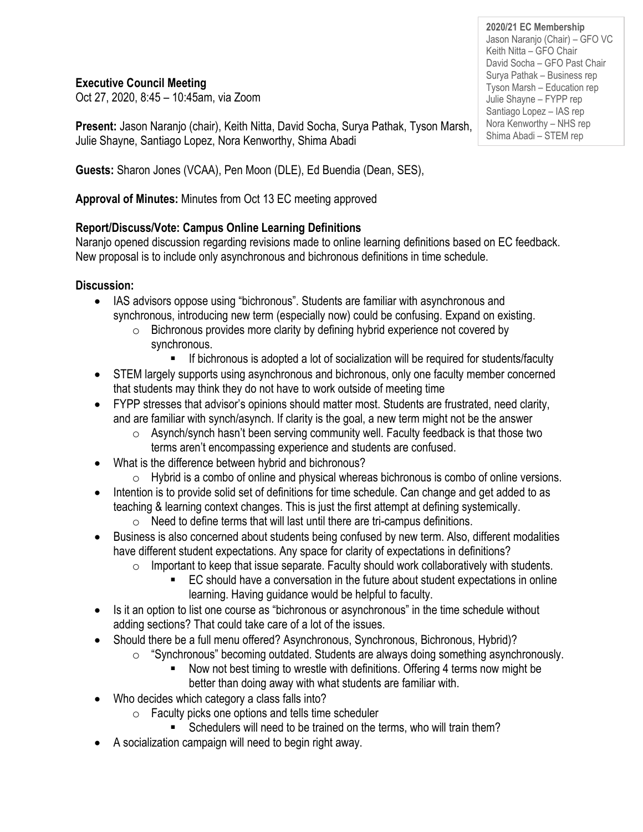**Executive Council Meeting**

Oct 27, 2020, 8:45 – 10:45am, via Zoom

**Present:** Jason Naranjo (chair), Keith Nitta, David Socha, Surya Pathak, Tyson Marsh, Julie Shayne, Santiago Lopez, Nora Kenworthy, Shima Abadi

**Guests:** Sharon Jones (VCAA), Pen Moon (DLE), Ed Buendia (Dean, SES),

**Approval of Minutes:** Minutes from Oct 13 EC meeting approved

# **Report/Discuss/Vote: Campus Online Learning Definitions**

Naranjo opened discussion regarding revisions made to online learning definitions based on EC feedback. New proposal is to include only asynchronous and bichronous definitions in time schedule.

## **Discussion:**

- IAS advisors oppose using "bichronous". Students are familiar with asynchronous and synchronous, introducing new term (especially now) could be confusing. Expand on existing.
	- o Bichronous provides more clarity by defining hybrid experience not covered by synchronous.
		- If bichronous is adopted a lot of socialization will be required for students/faculty
- STEM largely supports using asynchronous and bichronous, only one faculty member concerned that students may think they do not have to work outside of meeting time
- FYPP stresses that advisor's opinions should matter most. Students are frustrated, need clarity, and are familiar with synch/asynch. If clarity is the goal, a new term might not be the answer
	- o Asynch/synch hasn't been serving community well. Faculty feedback is that those two terms aren't encompassing experience and students are confused.
- What is the difference between hybrid and bichronous?
	- $\circ$  Hybrid is a combo of online and physical whereas bichronous is combo of online versions.
- Intention is to provide solid set of definitions for time schedule. Can change and get added to as teaching & learning context changes. This is just the first attempt at defining systemically.
	- $\circ$  Need to define terms that will last until there are tri-campus definitions.
- Business is also concerned about students being confused by new term. Also, different modalities have different student expectations. Any space for clarity of expectations in definitions?
	- $\circ$  Important to keep that issue separate. Faculty should work collaboratively with students.
		- EC should have a conversation in the future about student expectations in online learning. Having guidance would be helpful to faculty.
- Is it an option to list one course as "bichronous or asynchronous" in the time schedule without adding sections? That could take care of a lot of the issues.
- Should there be a full menu offered? Asynchronous, Synchronous, Bichronous, Hybrid)?
	- o "Synchronous" becoming outdated. Students are always doing something asynchronously.
		- Now not best timing to wrestle with definitions. Offering 4 terms now might be better than doing away with what students are familiar with.
- Who decides which category a class falls into?
	- $\circ$  Faculty picks one options and tells time scheduler
		- Schedulers will need to be trained on the terms, who will train them?
- A socialization campaign will need to begin right away.

**2020/21 EC Membership** Jason Naranjo (Chair) – GFO VC Keith Nitta – GFO Chair David Socha – GFO Past Chair Surya Pathak – Business rep Tyson Marsh – Education rep Julie Shayne – FYPP rep Santiago Lopez – IAS rep Nora Kenworthy – NHS rep Shima Abadi – STEM rep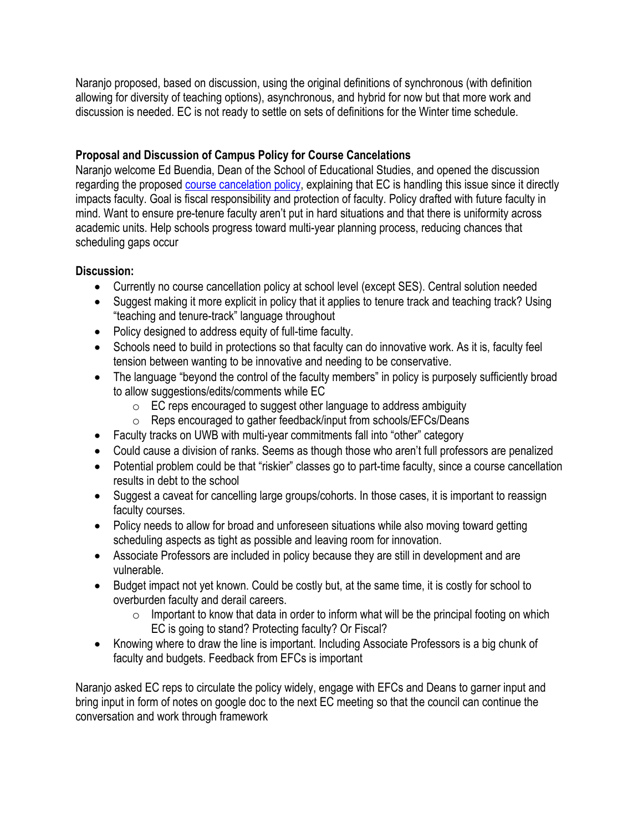Naranjo proposed, based on discussion, using the original definitions of synchronous (with definition allowing for diversity of teaching options), asynchronous, and hybrid for now but that more work and discussion is needed. EC is not ready to settle on sets of definitions for the Winter time schedule.

### **Proposal and Discussion of Campus Policy for Course Cancelations**

Naranjo welcome Ed Buendia, Dean of the School of Educational Studies, and opened the discussion regarding the proposed [course cancelation policy,](https://docs.google.com/document/d/1dZlP_TtH4tAlbedIArKe5H1WVJaHxTaa80ogusUa6Lc/edit?usp=sharing) explaining that EC is handling this issue since it directly impacts faculty. Goal is fiscal responsibility and protection of faculty. Policy drafted with future faculty in mind. Want to ensure pre-tenure faculty aren't put in hard situations and that there is uniformity across academic units. Help schools progress toward multi-year planning process, reducing chances that scheduling gaps occur

#### **Discussion:**

- Currently no course cancellation policy at school level (except SES). Central solution needed
- Suggest making it more explicit in policy that it applies to tenure track and teaching track? Using "teaching and tenure-track" language throughout
- Policy designed to address equity of full-time faculty.
- Schools need to build in protections so that faculty can do innovative work. As it is, faculty feel tension between wanting to be innovative and needing to be conservative.
- The language "beyond the control of the faculty members" in policy is purposely sufficiently broad to allow suggestions/edits/comments while EC
	- $\circ$  EC reps encouraged to suggest other language to address ambiguity
	- o Reps encouraged to gather feedback/input from schools/EFCs/Deans
- Faculty tracks on UWB with multi-year commitments fall into "other" category
- Could cause a division of ranks. Seems as though those who aren't full professors are penalized
- Potential problem could be that "riskier" classes go to part-time faculty, since a course cancellation results in debt to the school
- Suggest a caveat for cancelling large groups/cohorts. In those cases, it is important to reassign faculty courses.
- Policy needs to allow for broad and unforeseen situations while also moving toward getting scheduling aspects as tight as possible and leaving room for innovation.
- Associate Professors are included in policy because they are still in development and are vulnerable.
- Budget impact not yet known. Could be costly but, at the same time, it is costly for school to overburden faculty and derail careers.
	- $\circ$  Important to know that data in order to inform what will be the principal footing on which EC is going to stand? Protecting faculty? Or Fiscal?
- Knowing where to draw the line is important. Including Associate Professors is a big chunk of faculty and budgets. Feedback from EFCs is important

Naranjo asked EC reps to circulate the policy widely, engage with EFCs and Deans to garner input and bring input in form of notes on google doc to the next EC meeting so that the council can continue the conversation and work through framework